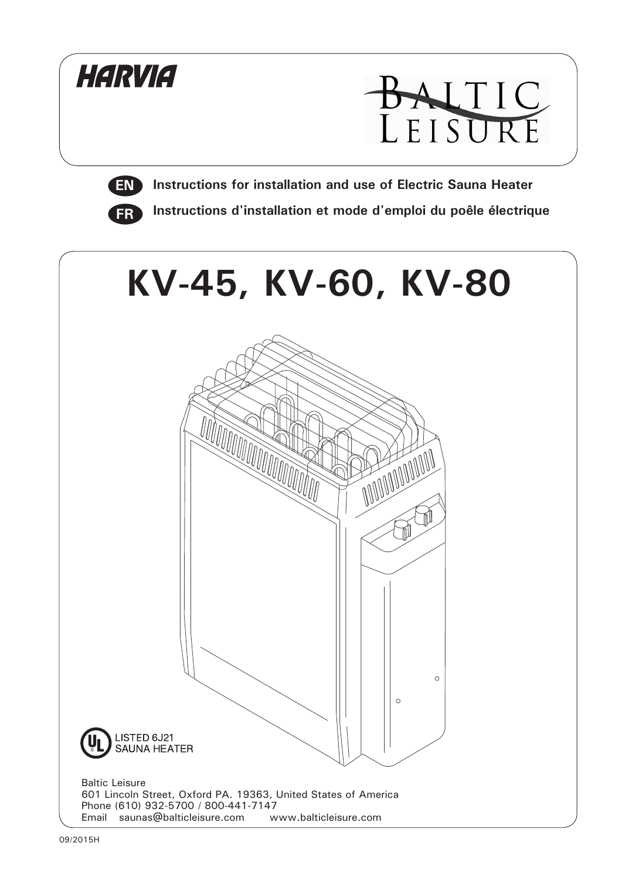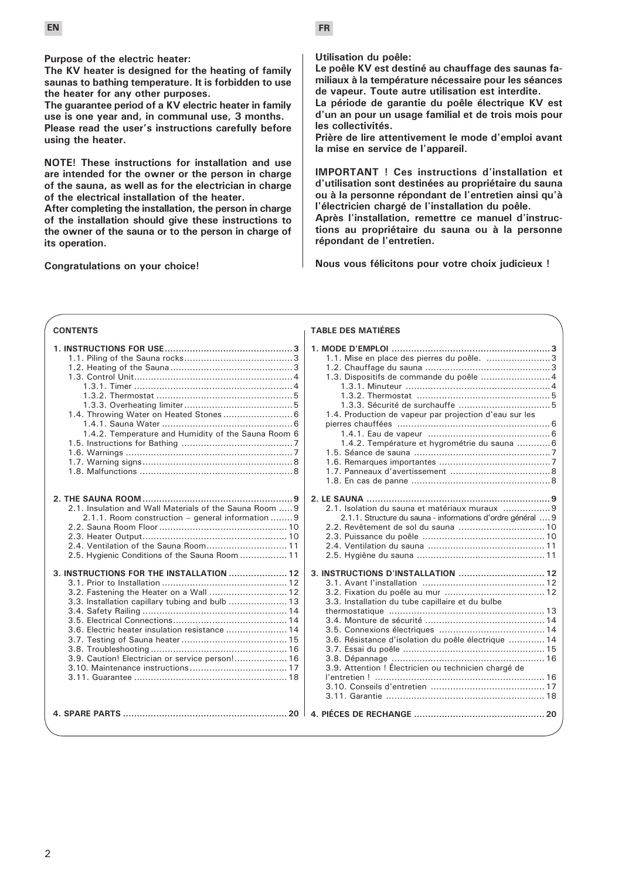**Purpose of the electric heater:**

**The KV heater is designed for the heating of family saunas to bathing temperature. It is forbidden to use the heater for any other purposes.**

**The guarantee period of a KV electric heater in family use is one year and, in communal use, 3 months.**

**Please read the user's instructions carefully before using the heater.**

**NOTE! These instructions for installation and use are intended for the owner or the person in charge of the sauna, as well as for the electrician in charge of the electrical installation of the heater.**

**After completing the installation, the person in charge of the installation should give these instructions to the owner of the sauna or to the person in charge of its operation.**

**Congratulations on your choice!**

**Utilisation du poêle:** 

**Le poêle KV est destiné au chauffage des saunas familiaux à la température nécessaire pour les séances de vapeur. Toute autre utilisation est interdite.** 

**La période de garantie du poêle électrique KV est d'un an pour un usage familial et de trois mois pour les collectivités.** 

**Prière de lire attentivement le mode d'emploi avant la mise en service de l'appareil.** 

**IMPORTANT ! Ces instructions d'installation et d'utilisation sont destinées au propriétaire du sauna ou à la personne répondant de l'entretien ainsi qu'à l'électricien chargé de l'installation du poêle.** 

**Après l'installation, remettre ce manuel d'instructions au propriétaire du sauna ou à la personne répondant de l'entretien.** 

**1. MODE D'EMPLOI .........................................................3**

**Nous vous félicitons pour votre choix judicieux !** 

#### **CONTENTS**

|                                                         | 1.1. Mise en place des pierres du poêle. 3                  |  |
|---------------------------------------------------------|-------------------------------------------------------------|--|
|                                                         |                                                             |  |
|                                                         | 1.3. Dispositifs de commande du poêle  4                    |  |
|                                                         |                                                             |  |
|                                                         |                                                             |  |
|                                                         |                                                             |  |
| 1.4. Throwing Water on Heated Stones 6                  | 1.4. Production de vapeur par projection d'eau sur les      |  |
|                                                         |                                                             |  |
| 1.4.2. Temperature and Humidity of the Sauna Room 6     |                                                             |  |
|                                                         | 1.4.2. Température et hygrométrie du sauna  6               |  |
|                                                         |                                                             |  |
|                                                         |                                                             |  |
|                                                         |                                                             |  |
|                                                         |                                                             |  |
|                                                         |                                                             |  |
|                                                         |                                                             |  |
| 2.1. Insulation and Wall Materials of the Sauna Room  9 | 2.1. Isolation du sauna et matériaux muraux 9               |  |
| 2.1.1. Room construction – general information  9       | 2.1.1. Structure du sauna - informations d'ordre général  9 |  |
|                                                         |                                                             |  |
|                                                         |                                                             |  |
| 2.4. Ventilation of the Sauna Room 11                   |                                                             |  |
| 2.5. Hygienic Conditions of the Sauna Room  11          |                                                             |  |
|                                                         |                                                             |  |
| 3. INSTRUCTIONS FOR THE INSTALLATION  12                |                                                             |  |
|                                                         |                                                             |  |
| 3.2. Fastening the Heater on a Wall  12                 |                                                             |  |
| 3.3. Installation capillary tubing and bulb  13         | 3.3. Installation du tube capillaire et du bulbe            |  |
|                                                         |                                                             |  |
|                                                         |                                                             |  |
| 3.6. Electric heater insulation resistance  14          |                                                             |  |
|                                                         | 3.6. Résistance d'isolation du poêle électrique  14         |  |
|                                                         |                                                             |  |
| 3.9. Caution! Electrician or service person! 16         |                                                             |  |
|                                                         | 3.9. Attention ! Électricien ou technicien chargé de        |  |
|                                                         |                                                             |  |
|                                                         |                                                             |  |
|                                                         |                                                             |  |
|                                                         |                                                             |  |
|                                                         |                                                             |  |
|                                                         |                                                             |  |

#### **TABLE DES MATIÉRES**

 $\overline{2}$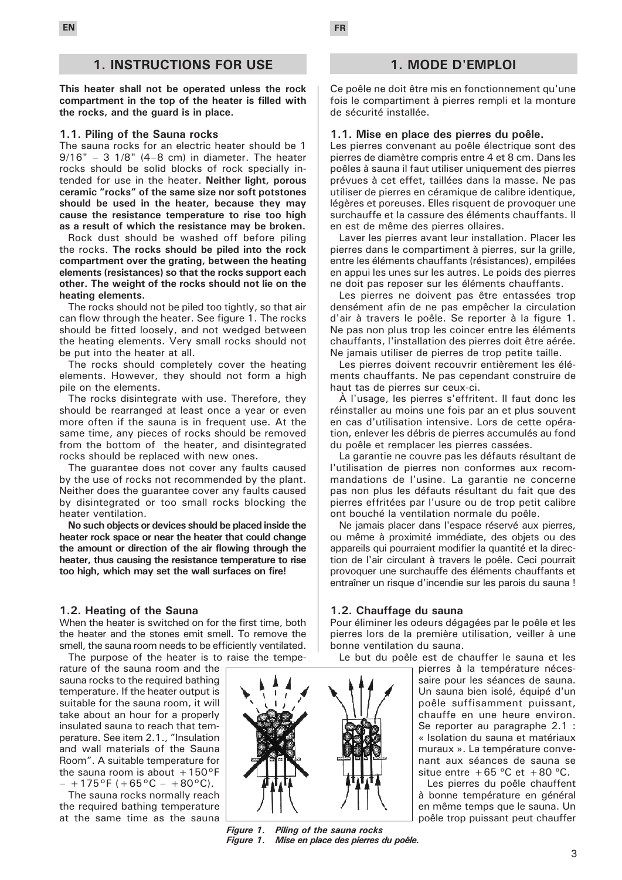### **1. INSTRUCTIONS FOR USE**

**This heater shall not be operated unless the rock compartment in the top of the heater is filled with the rocks, and the guard is in place.**

#### **1.1. Piling of the Sauna rocks**

The sauna rocks for an electric heater should be 1  $9/16" - 3$   $1/8"$   $(4-8$  cm) in diameter. The heater rocks should be solid blocks of rock specially intended for use in the heater. **Neither light, porous ceramic "rocks" of the same size nor soft potstones should be used in the heater, because they may cause the resistance temperature to rise too high as a result of which the resistance may be broken.**

Rock dust should be washed off before piling the rocks. **The rocks should be piled into the rock compartment over the grating, between the heating elements (resistances) so that the rocks support each other. The weight of the rocks should not lie on the heating elements.**

The rocks should not be piled too tightly, so that air can flow through the heater. See figure 1. The rocks should be fitted loosely, and not wedged between the heating elements. Very small rocks should not be put into the heater at all.

The rocks should completely cover the heating elements. However, they should not form a high pile on the elements.

The rocks disintegrate with use. Therefore, they should be rearranged at least once a year or even more often if the sauna is in frequent use. At the same time, any pieces of rocks should be removed from the bottom of the heater, and disintegrated rocks should be replaced with new ones.

The guarantee does not cover any faults caused by the use of rocks not recommended by the plant. Neither does the guarantee cover any faults caused by disintegrated or too small rocks blocking the heater ventilation.

**No such objects or devices should be placed inside the heater rock space or near the heater that could change the amount or direction of the air flowing through the heater, thus causing the resistance temperature to rise too high, which may set the wall surfaces on fire!**

#### **1.2. Heating of the Sauna**

When the heater is switched on for the first time, both the heater and the stones emit smell. To remove the smell, the sauna room needs to be efficiently ventilated. The purpose of the heater is to raise the tempe-

rature of the sauna room and the sauna rocks to the required bathing temperature. If the heater output is suitable for the sauna room, it will take about an hour for a properly insulated sauna to reach that temperature. See item 2.1., "Insulation and wall materials of the Sauna Room". A suitable temperature for the sauna room is about  $+150^{\circ}$ F  $- +175^{\circ}F (+65^{\circ}C - +80^{\circ}C).$ 

The sauna rocks normally reach the required bathing temperature at the same time as the sauna



*Figure 1. Piling of the sauna rocks Figure 1. Mise en place des pierres du poêle.* 

### **1. MODE D'EMPLOI**

Ce poêle ne doit être mis en fonctionnement qu'une fois le compartiment à pierres rempli et la monture de sécurité installée.

#### **1.1. Mise en place des pierres du poêle.**

Les pierres convenant au poêle électrique sont des pierres de diamètre compris entre 4 et 8 cm. Dans les poêles à sauna il faut utiliser uniquement des pierres prévues à cet effet, taillées dans la masse. Ne pas utiliser de pierres en céramique de calibre identique, légères et poreuses. Elles risquent de provoquer une surchauffe et la cassure des éléments chauffants. Il en est de même des pierres ollaires.

Laver les pierres avant leur installation. Placer les pierres dans le compartiment à pierres, sur la grille, entre les éléments chauffants (résistances), empilées en appui les unes sur les autres. Le poids des pierres ne doit pas reposer sur les éléments chauffants.

Les pierres ne doivent pas être entassées trop densément afin de ne pas empêcher la circulation d'air à travers le poêle. Se reporter à la figure 1. Ne pas non plus trop les coincer entre les éléments chauffants, l'installation des pierres doit être aérée. Ne jamais utiliser de pierres de trop petite taille.

Les pierres doivent recouvrir entièrement les éléments chauffants. Ne pas cependant construire de haut tas de pierres sur ceux-ci.

À l'usage, les pierres s'effritent. Il faut donc les réinstaller au moins une fois par an et plus souvent en cas d'utilisation intensive. Lors de cette opération, enlever les débris de pierres accumulés au fond du poêle et remplacer les pierres cassées.

La garantie ne couvre pas les défauts résultant de l'utilisation de pierres non conformes aux recommandations de l'usine. La garantie ne concerne pas non plus les défauts résultant du fait que des pierres effritées par l'usure ou de trop petit calibre ont bouché la ventilation normale du poêle.

Ne jamais placer dans l'espace réservé aux pierres, ou même à proximité immédiate, des objets ou des appareils qui pourraient modifier la quantité et la direction de l'air circulant à travers le poêle. Ceci pourrait provoquer une surchauffe des éléments chauffants et entraîner un risque d'incendie sur les parois du sauna !

#### **1.2. Chauffage du sauna**

Pour éliminer les odeurs dégagées par le poêle et les pierres lors de la première utilisation, veiller à une bonne ventilation du sauna.

Le but du poêle est de chauffer le sauna et les

pierres à la température nécessaire pour les séances de sauna. Un sauna bien isolé, équipé d'un poêle suffisamment puissant, chauffe en une heure environ. Se reporter au paragraphe 2.1 : « Isolation du sauna et matériaux muraux ». La température convenant aux séances de sauna se situe entre  $+65$  °C et  $+80$  °C.

Les pierres du poêle chauffent à bonne température en général en même temps que le sauna. Un poêle trop puissant peut chauffer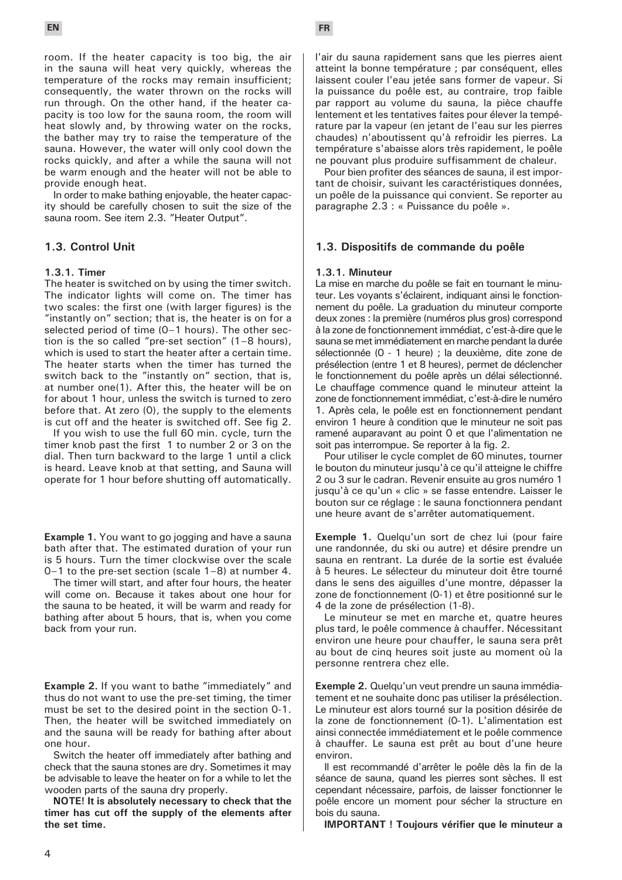room. If the heater capacity is too big, the air in the sauna will heat very quickly, whereas the temperature of the rocks may remain insufficient; consequently, the water thrown on the rocks will run through. On the other hand, if the heater capacity is too low for the sauna room, the room will heat slowly and, by throwing water on the rocks, the bather may try to raise the temperature of the sauna. However, the water will only cool down the rocks quickly, and after a while the sauna will not be warm enough and the heater will not be able to provide enough heat.

In order to make bathing enjoyable, the heater capacity should be carefully chosen to suit the size of the sauna room. See item 2.3. "Heater Output".

#### **1.3. Control Unit**

#### **1.3.1. Timer**

The heater is switched on by using the timer switch. The indicator lights will come on. The timer has two scales: the first one (with larger figures) is the "instantly on" section; that is, the heater is on for a selected period of time (0–1 hours). The other section is the so called "pre-set section" (1–8 hours), which is used to start the heater after a certain time. The heater starts when the timer has turned the switch back to the "instantly on" section, that is, at number one(1). After this, the heater will be on for about 1 hour, unless the switch is turned to zero before that. At zero (0), the supply to the elements is cut off and the heater is switched off. See fig 2.

If you wish to use the full 60 min. cycle, turn the timer knob past the first 1 to number 2 or 3 on the dial. Then turn backward to the large 1 until a click is heard. Leave knob at that setting, and Sauna will operate for 1 hour before shutting off automatically.

**Example 1.** You want to go jogging and have a sauna bath after that. The estimated duration of your run is 5 hours. Turn the timer clockwise over the scale 0–1 to the pre-set section (scale 1–8) at number 4.

The timer will start, and after four hours, the heater will come on. Because it takes about one hour for the sauna to be heated, it will be warm and ready for bathing after about 5 hours, that is, when you come back from your run.

**Example 2.** If you want to bathe "immediately" and thus do not want to use the pre-set timing, the timer must be set to the desired point in the section 0-1. Then, the heater will be switched immediately on and the sauna will be ready for bathing after about one hour.

Switch the heater off immediately after bathing and check that the sauna stones are dry. Sometimes it may be advisable to leave the heater on for a while to let the wooden parts of the sauna dry properly.

**NOTE! It is absolutely necessary to check that the timer has cut off the supply of the elements after the set time.**

l'air du sauna rapidement sans que les pierres aient atteint la bonne température ; par conséquent, elles laissent couler l'eau jetée sans former de vapeur. Si la puissance du poêle est, au contraire, trop faible par rapport au volume du sauna, la pièce chauffe lentement et les tentatives faites pour élever la température par la vapeur (en jetant de l'eau sur les pierres chaudes) n'aboutissent qu'à refroidir les pierres. La température s'abaisse alors très rapidement, le poêle ne pouvant plus produire suffisamment de chaleur.

Pour bien profiter des séances de sauna, il est important de choisir, suivant les caractéristiques données, un poêle de la puissance qui convient. Se reporter au paragraphe 2.3 : « Puissance du poêle ».

#### **1.3. Dispositifs de commande du poêle**

#### **1.3.1. Minuteur**

La mise en marche du poêle se fait en tournant le minuteur. Les voyants s'éclairent, indiquant ainsi le fonctionnement du poêle. La graduation du minuteur comporte deux zones : la première (numéros plus gros) correspond à la zone de fonctionnement immédiat, c'est-à-dire que le sauna se met immédiatement en marche pendant la durée sélectionnée (0 - 1 heure) ; la deuxième, dite zone de présélection (entre 1 et 8 heures), permet de déclencher le fonctionnement du poêle après un délai sélectionné. Le chauffage commence quand le minuteur atteint la zone de fonctionnement immédiat, c'est-à-dire le numéro 1. Après cela, le poêle est en fonctionnement pendant environ 1 heure à condition que le minuteur ne soit pas ramené auparavant au point 0 et que l'alimentation ne soit pas interrompue. Se reporter à la fig. 2.

Pour utiliser le cycle complet de 60 minutes, tourner le bouton du minuteur jusqu'à ce qu'il atteigne le chiffre 2 ou 3 sur le cadran. Revenir ensuite au gros numéro 1 jusqu'à ce qu'un « clic » se fasse entendre. Laisser le bouton sur ce réglage : le sauna fonctionnera pendant une heure avant de s'arrêter automatiquement.

**Exemple 1.** Quelqu'un sort de chez lui (pour faire une randonnée, du ski ou autre) et désire prendre un sauna en rentrant. La durée de la sortie est évaluée à 5 heures. Le sélecteur du minuteur doit être tourné dans le sens des aiguilles d'une montre, dépasser la zone de fonctionnement (0-1) et être positionné sur le 4 de la zone de présélection (1-8).

Le minuteur se met en marche et, quatre heures plus tard, le poêle commence à chauffer. Nécessitant environ une heure pour chauffer, le sauna sera prêt au bout de cinq heures soit juste au moment où la personne rentrera chez elle.

**Exemple 2.** Quelqu'un veut prendre un sauna immédiatement et ne souhaite donc pas utiliser la présélection. Le minuteur est alors tourné sur la position désirée de la zone de fonctionnement (0-1). L'alimentation est ainsi connectée immédiatement et le poêle commence à chauffer. Le sauna est prêt au bout d'une heure environ.

Il est recommandé d'arrêter le poêle dès la fin de la séance de sauna, quand les pierres sont sèches. Il est cependant nécessaire, parfois, de laisser fonctionner le poêle encore un moment pour sécher la structure en bois du sauna.

**IMPORTANT ! Toujours vérifier que le minuteur a**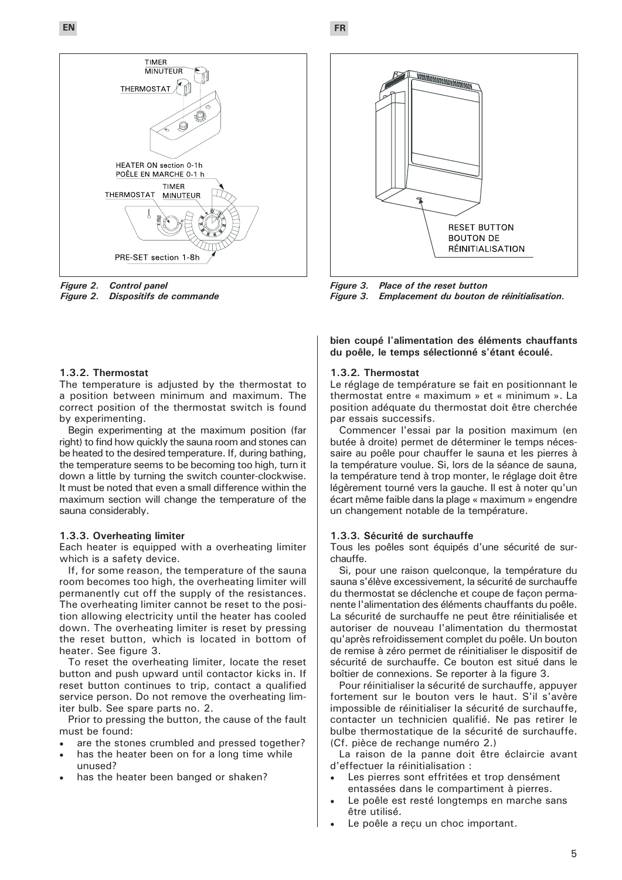**EN FR**



*Figure 2. Control panel* **Dispositifs de commande** 

### **1.3.2. Thermostat**

The temperature is adjusted by the thermostat to a position between minimum and maximum. The correct position of the thermostat switch is found by experimenting.

Begin experimenting at the maximum position (far right) to find how quickly the sauna room and stones can be heated to the desired temperature. If, during bathing, the temperature seems to be becoming too high, turn it down a little by turning the switch counter-clockwise. It must be noted that even a small difference within the maximum section will change the temperature of the sauna considerably.

#### **1.3.3. Overheating limiter**

Each heater is equipped with a overheating limiter which is a safety device.

If, for some reason, the temperature of the sauna room becomes too high, the overheating limiter will permanently cut off the supply of the resistances. The overheating limiter cannot be reset to the position allowing electricity until the heater has cooled down. The overheating limiter is reset by pressing the reset button, which is located in bottom of heater. See figure 3.

To reset the overheating limiter, locate the reset button and push upward until contactor kicks in. If reset button continues to trip, contact a qualified service person. Do not remove the overheating limiter bulb. See spare parts no. 2.

Prior to pressing the button, the cause of the fault must be found:

- are the stones crumbled and pressed together?
- has the heater been on for a long time while unused?
- has the heater been banged or shaken?



*Figure 3. Place of the reset button Emplacement du bouton de réinitialisation.* 

**bien coupé l'alimentation des éléments chauffants du poêle, le temps sélectionné s'étant écoulé.** 

#### **1.3.2. Thermostat**

Le réglage de température se fait en positionnant le thermostat entre « maximum » et « minimum ». La position adéquate du thermostat doit être cherchée par essais successifs.

Commencer l'essai par la position maximum (en butée à droite) permet de déterminer le temps nécessaire au poêle pour chauffer le sauna et les pierres à la température voulue. Si, lors de la séance de sauna, la température tend à trop monter, le réglage doit être légèrement tourné vers la gauche. Il est à noter qu'un écart même faible dans la plage « maximum » engendre un changement notable de la température.

#### **1.3.3. Sécurité de surchauffe**

Tous les poêles sont équipés d'une sécurité de surchauffe.

Si, pour une raison quelconque, la température du sauna s'élève excessivement, la sécurité de surchauffe du thermostat se déclenche et coupe de façon permanente l'alimentation des éléments chauffants du poêle. La sécurité de surchauffe ne peut être réinitialisée et autoriser de nouveau l'alimentation du thermostat qu'après refroidissement complet du poêle. Un bouton de remise à zéro permet de réinitialiser le dispositif de sécurité de surchauffe. Ce bouton est situé dans le boîtier de connexions. Se reporter à la figure 3.

Pour réinitialiser la sécurité de surchauffe, appuyer fortement sur le bouton vers le haut. S'il s'avère impossible de réinitialiser la sécurité de surchauffe, contacter un technicien qualifié. Ne pas retirer le bulbe thermostatique de la sécurité de surchauffe. (Cf. pièce de rechange numéro 2.)

La raison de la panne doit être éclaircie avant d'effectuer la réinitialisation :

- Les pierres sont effritées et trop densément entassées dans le compartiment à pierres.
- Le poêle est resté longtemps en marche sans être utilisé.
- Le poêle a reçu un choc important.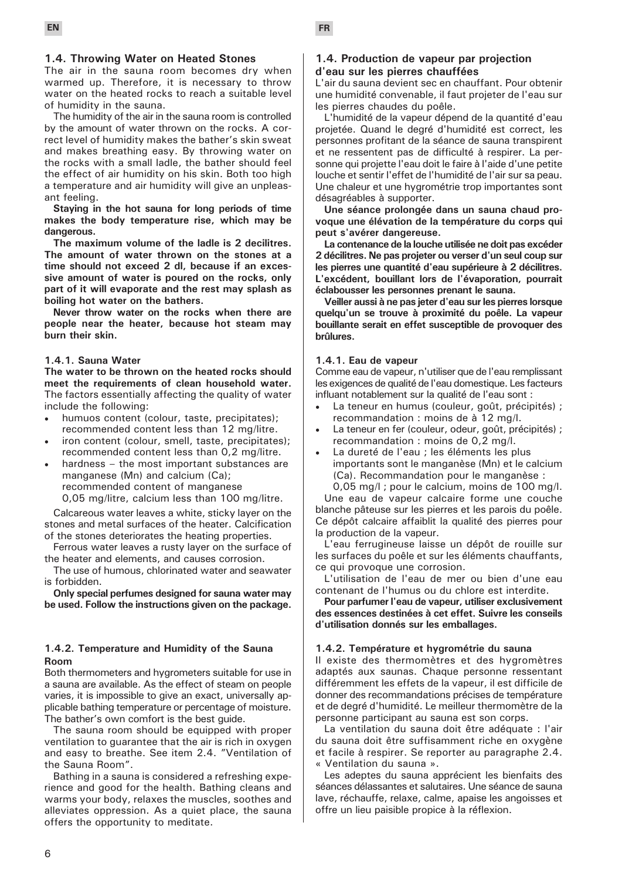### **1.4. Throwing Water on Heated Stones**

The air in the sauna room becomes dry when warmed up. Therefore, it is necessary to throw water on the heated rocks to reach a suitable level of humidity in the sauna.

The humidity of the air in the sauna room is controlled by the amount of water thrown on the rocks. A correct level of humidity makes the bather's skin sweat and makes breathing easy. By throwing water on the rocks with a small ladle, the bather should feel the effect of air humidity on his skin. Both too high a temperature and air humidity will give an unpleasant feeling.

**Staying in the hot sauna for long periods of time makes the body temperature rise, which may be dangerous.**

**The maximum volume of the ladle is 2 decilitres. The amount of water thrown on the stones at a time should not exceed 2 dl, because if an excessive amount of water is poured on the rocks, only part of it will evaporate and the rest may splash as boiling hot water on the bathers.**

**Never throw water on the rocks when there are people near the heater, because hot steam may burn their skin.**

#### **1.4.1. Sauna Water**

**The water to be thrown on the heated rocks should meet the requirements of clean household water.**  The factors essentially affecting the quality of water include the following:

- humuos content (colour, taste, precipitates); recommended content less than 12 mg/litre.
- iron content (colour, smell, taste, precipitates); recommended content less than 0,2 mg/litre.
- hardness  $-$  the most important substances are manganese (Mn) and calcium (Ca); recommended content of manganese 0,05 mg/litre, calcium less than 100 mg/litre.

Calcareous water leaves a white, sticky layer on the stones and metal surfaces of the heater. Calcification of the stones deteriorates the heating properties.

Ferrous water leaves a rusty layer on the surface of the heater and elements, and causes corrosion.

The use of humous, chlorinated water and seawater is forbidden.

**Only special perfumes designed for sauna water may be used. Follow the instructions given on the package.**

#### **1.4.2. Temperature and Humidity of the Sauna Room**

Both thermometers and hygrometers suitable for use in a sauna are available. As the effect of steam on people varies, it is impossible to give an exact, universally applicable bathing temperature or percentage of moisture. The bather's own comfort is the best guide.

The sauna room should be equipped with proper ventilation to guarantee that the air is rich in oxygen and easy to breathe. See item 2.4. "Ventilation of the Sauna Room".

Bathing in a sauna is considered a refreshing experience and good for the health. Bathing cleans and warms your body, relaxes the muscles, soothes and alleviates oppression. As a quiet place, the sauna offers the opportunity to meditate.

#### **1.4. Production de vapeur par projection d'eau sur les pierres chauffées**

L'air du sauna devient sec en chauffant. Pour obtenir une humidité convenable, il faut projeter de l'eau sur les pierres chaudes du poêle.

L'humidité de la vapeur dépend de la quantité d'eau projetée. Quand le degré d'humidité est correct, les personnes profitant de la séance de sauna transpirent et ne ressentent pas de difficulté à respirer. La personne qui projette l'eau doit le faire à l'aide d'une petite louche et sentir l'effet de l'humidité de l'air sur sa peau. Une chaleur et une hygrométrie trop importantes sont désagréables à supporter.

**Une séance prolongée dans un sauna chaud provoque une élévation de la température du corps qui peut s'avérer dangereuse.** 

**La contenance de la louche utilisée ne doit pas excéder 2 décilitres. Ne pas projeter ou verser d'un seul coup sur les pierres une quantité d'eau supérieure à 2 décilitres. L'excédent, bouillant lors de l'évaporation, pourrait éclabousser les personnes prenant le sauna.** 

**Veiller aussi à ne pas jeter d'eau sur les pierres lorsque quelqu'un se trouve à proximité du poêle. La vapeur bouillante serait en effet susceptible de provoquer des brûlures.** 

#### **1.4.1. Eau de vapeur**

Comme eau de vapeur, n'utiliser que de l'eau remplissant les exigences de qualité de l'eau domestique. Les facteurs influant notablement sur la qualité de l'eau sont :

- La teneur en humus (couleur, goût, précipités) ; recommandation : moins de à 12 mg/l.
- La teneur en fer (couleur, odeur, goût, précipités) ; recommandation : moins de 0,2 mg/l.
- La dureté de l'eau ; les éléments les plus importants sont le manganèse (Mn) et le calcium (Ca). Recommandation pour le manganèse : 0,05 mg/l ; pour le calcium, moins de 100 mg/l.

Une eau de vapeur calcaire forme une couche blanche pâteuse sur les pierres et les parois du poêle. Ce dépôt calcaire affaiblit la qualité des pierres pour la production de la vapeur.

L'eau ferrugineuse laisse un dépôt de rouille sur les surfaces du poêle et sur les éléments chauffants, ce qui provoque une corrosion.

L'utilisation de l'eau de mer ou bien d'une eau contenant de l'humus ou du chlore est interdite.

**Pour parfumer l'eau de vapeur, utiliser exclusivement des essences destinées à cet effet. Suivre les conseils d'utilisation donnés sur les emballages.** 

#### **1.4.2. Température et hygrométrie du sauna**

Il existe des thermomètres et des hygromètres adaptés aux saunas. Chaque personne ressentant différemment les effets de la vapeur, il est difficile de donner des recommandations précises de température et de degré d'humidité. Le meilleur thermomètre de la personne participant au sauna est son corps.

La ventilation du sauna doit être adéquate : l'air du sauna doit être suffisamment riche en oxygène et facile à respirer. Se reporter au paragraphe 2.4. « Ventilation du sauna ».

Les adeptes du sauna apprécient les bienfaits des séances délassantes et salutaires. Une séance de sauna lave, réchauffe, relaxe, calme, apaise les angoisses et offre un lieu paisible propice à la réflexion.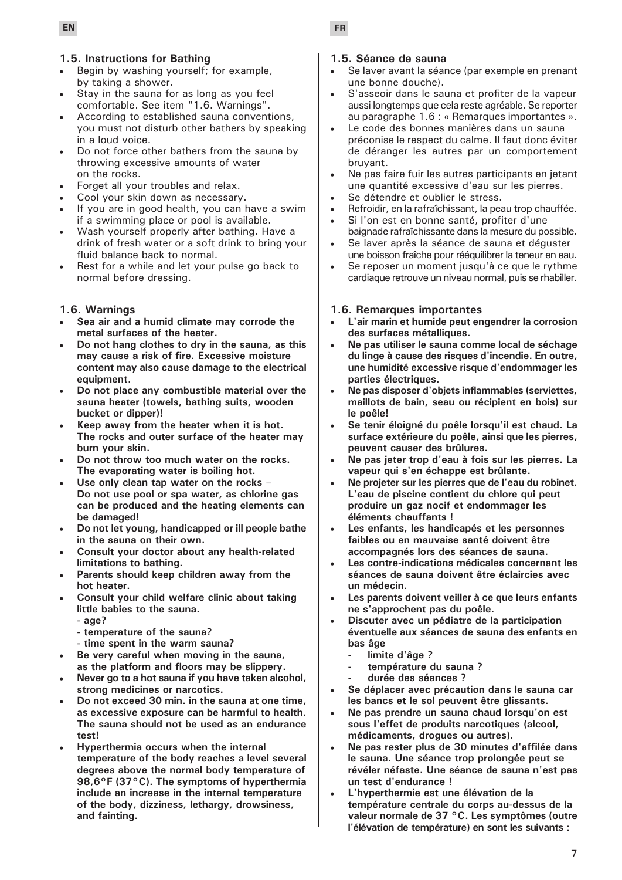### **1.5. Instructions for Bathing**

- • Begin by washing yourself; for example, by taking a shower.
- Stay in the sauna for as long as you feel comfortable. See item "1.6. Warnings".
- According to established sauna conventions, you must not disturb other bathers by speaking in a loud voice.
- Do not force other bathers from the sauna by throwing excessive amounts of water on the rocks.
- Forget all your troubles and relax.
- Cool your skin down as necessary.
- If you are in good health, you can have a swim if a swimming place or pool is available.
- Wash yourself properly after bathing. Have a drink of fresh water or a soft drink to bring your fluid balance back to normal.
- Rest for a while and let your pulse go back to normal before dressing.

### **1.6. Warnings**

- Sea air and a humid climate may corrode the **metal surfaces of the heater.**
- Do not hang clothes to dry in the sauna, as this **may cause a risk of fire. Excessive moisture content may also cause damage to the electrical equipment.**
- Do not place any combustible material over the **sauna heater (towels, bathing suits, wooden bucket or dipper)!**
- Keep away from the heater when it is hot. **The rocks and outer surface of the heater may burn your skin.**
- Do not throw too much water on the rocks. **The evaporating water is boiling hot.**
- Use only clean tap water on the rocks -**Do not use pool or spa water, as chlorine gas can be produced and the heating elements can be damaged!**
- **Do not let young, handicapped or ill people bathe in the sauna on their own.**
- **Consult your doctor about any health-related limitations to bathing.**
- Parents should keep children away from the **hot heater.**
- **Consult your child welfare clinic about taking little babies to the sauna.**
	- **age?**
	- **temperature of the sauna?**
	- **time spent in the warm sauna?**
- Be very careful when moving in the sauna, **as the platform and floors may be slippery.**
- Never go to a hot sauna if you have taken alcohol, **strong medicines or narcotics.**
- Do not exceed 30 min. in the sauna at one time, **as excessive exposure can be harmful to health. The sauna should not be used as an endurance test!**
- **Hyperthermia occurs when the internal temperature of the body reaches a level several degrees above the normal body temperature of 98,6°F (37°C). The symptoms of hyperthermia include an increase in the internal temperature of the body, dizziness, lethargy, drowsiness, and fainting.**

### **1.5. Séance de sauna**

- Se laver avant la séance (par exemple en prenant une bonne douche).
- S'asseoir dans le sauna et profiter de la vapeur aussi longtemps que cela reste agréable. Se reporter au paragraphe 1.6 : « Remarques importantes ».
- Le code des bonnes manières dans un sauna préconise le respect du calme. Il faut donc éviter de déranger les autres par un comportement bruyant.
- Ne pas faire fuir les autres participants en jetant une quantité excessive d'eau sur les pierres.
- Se détendre et oublier le stress.
- Refroidir, en la rafraîchissant, la peau trop chauffée.
- Si l'on est en bonne santé, profiter d'une baignade rafraîchissante dans la mesure du possible.
- Se laver après la séance de sauna et déquster une boisson fraîche pour rééquilibrer la teneur en eau.
- Se reposer un moment jusqu'à ce que le rythme cardiaque retrouve un niveau normal, puis se rhabiller.

### **1.6. Remarques importantes**

- **L'air marin et humide peut engendrer la corrosion des surfaces métalliques.**
- **• Ne pas utiliser le sauna comme local de séchage du linge à cause des risques d'incendie. En outre, une humidité excessive risque d'endommager les parties électriques.**
- **• Ne pas disposer d'objets inflammables (serviettes, maillots de bain, seau ou récipient en bois) sur le poêle!**
- **• Se tenir éloigné du poêle lorsqu'il est chaud. La surface extérieure du poêle, ainsi que les pierres, peuvent causer des brûlures.**
- **• Ne pas jeter trop d'eau à fois sur les pierres. La vapeur qui s'en échappe est brûlante.**
- **• Ne projeter sur les pierres que de l'eau du robinet. L'eau de piscine contient du chlore qui peut produire un gaz nocif et endommager les éléments chauffants !**
- Les enfants, les handicapés et les personnes **faibles ou en mauvaise santé doivent être accompagnés lors des séances de sauna.**
- Les contre-indications médicales concernant les **séances de sauna doivent être éclaircies avec un médecin.**
- Les parents doivent veiller à ce que leurs enfants **ne s'approchent pas du poêle.**
- **Discuter avec un pédiatre de la participation éventuelle aux séances de sauna des enfants en bas âge** 
	- **- limite d'âge ?**
	- **- température du sauna ?**
	- **- durée des séances ?**
- **Se déplacer avec précaution dans le sauna car les bancs et le sol peuvent être glissants.**
- Ne pas prendre un sauna chaud lorsqu'on est **sous l'effet de produits narcotiques (alcool, médicaments, drogues ou autres).**
- **• Ne pas rester plus de 30 minutes d'affilée dans le sauna. Une séance trop prolongée peut se révéler néfaste. Une séance de sauna n'est pas un test d'endurance !**
- **• L'hyperthermie est une élévation de la température centrale du corps au-dessus de la valeur normale de 37 °C. Les symptômes (outre l'élévation de température) en sont les suivants :**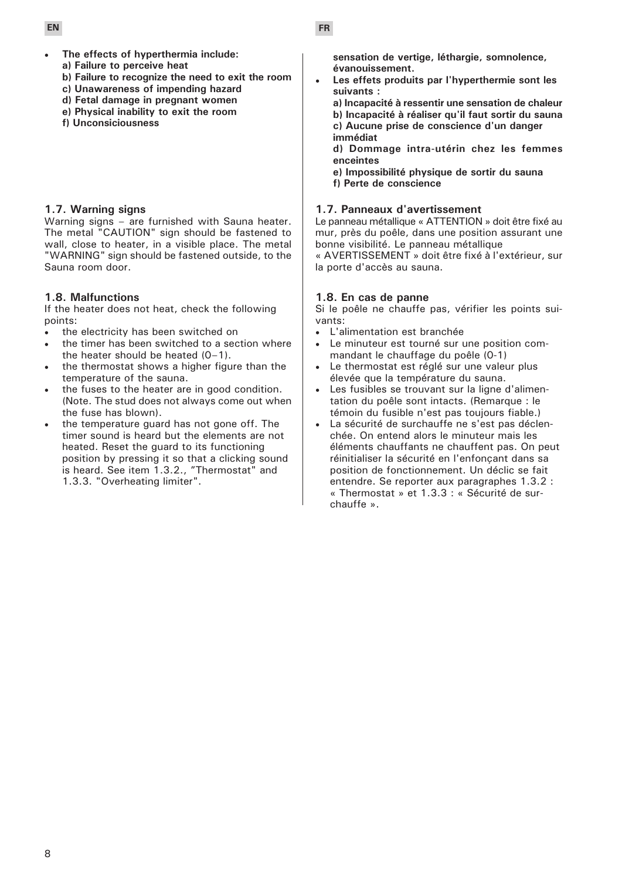- 
- The effects of hyperthermia include: **a) Failure to perceive heat**
- 
- **b) Failure to recognize the need to exit the room c) Unawareness of impending hazard**
- **d) Fetal damage in pregnant women**
- **e) Physical inability to exit the room**
- **f) Unconsiciousness**

# **1.7. Warning signs**

Warning signs – are furnished with Sauna heater. The metal "CAUTION" sign should be fastened to wall, close to heater, in a visible place. The metal "WARNING" sign should be fastened outside, to the Sauna room door.

# **1.8. Malfunctions**

If the heater does not heat, check the following points:

- the electricity has been switched on
- the timer has been switched to a section where the heater should be heated (0–1).
- the thermostat shows a higher figure than the temperature of the sauna.
- the fuses to the heater are in good condition. (Note. The stud does not always come out when the fuse has blown).
- the temperature guard has not gone off. The timer sound is heard but the elements are not heated. Reset the guard to its functioning position by pressing it so that a clicking sound is heard. See item 1.3.2., "Thermostat" and 1.3.3. "Overheating limiter".

**sensation de vertige, léthargie, somnolence, évanouissement.** 

Les effets produits par l'hyperthermie sont les **suivants :** 

**a) Incapacité à ressentir une sensation de chaleur b) Incapacité à réaliser qu'il faut sortir du sauna c) Aucune prise de conscience d'un danger immédiat** 

**d) Dommage intra-utérin chez les femmes enceintes** 

**e) Impossibilité physique de sortir du sauna f) Perte de conscience** 

# **1.7. Panneaux d'avertissement**

Le panneau métallique « ATTENTION » doit être fixé au mur, près du poêle, dans une position assurant une bonne visibilité. Le panneau métallique

« AVERTISSEMENT » doit être fixé à l'extérieur, sur la porte d'accès au sauna.

# **1.8. En cas de panne**

Si le poêle ne chauffe pas, vérifier les points suivants:

- L'alimentation est branchée
- Le minuteur est tourné sur une position commandant le chauffage du poêle (0-1)
- Le thermostat est réglé sur une valeur plus élevée que la température du sauna.
- Les fusibles se trouvant sur la ligne d'alimentation du poêle sont intacts. (Remarque : le témoin du fusible n'est pas toujours fiable.)
- La sécurité de surchauffe ne s'est pas déclenchée. On entend alors le minuteur mais les éléments chauffants ne chauffent pas. On peut réinitialiser la sécurité en l'enfonçant dans sa position de fonctionnement. Un déclic se fait entendre. Se reporter aux paragraphes 1.3.2 : « Thermostat » et 1.3.3 : « Sécurité de surchauffe ».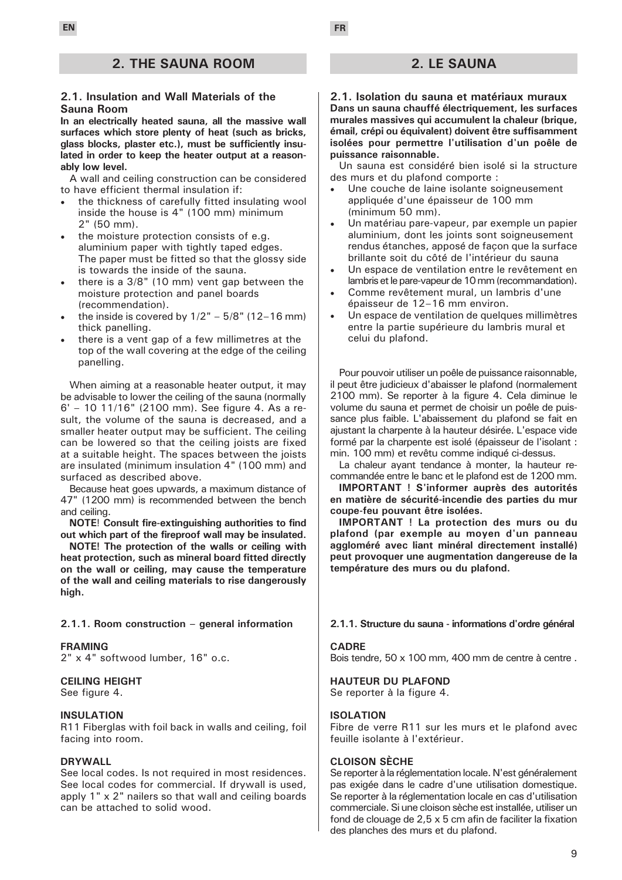## **2. THE SAUNA ROOM**

#### **2.1. Insulation and Wall Materials of the Sauna Room**

**In an electrically heated sauna, all the massive wall surfaces which store plenty of heat (such as bricks, glass blocks, plaster etc.), must be sufficiently insulated in order to keep the heater output at a reasonably low level.**

A wall and ceiling construction can be considered to have efficient thermal insulation if:

- the thickness of carefully fitted insulating wool inside the house is 4" (100 mm) minimum 2" (50 mm).
- the moisture protection consists of e.g. aluminium paper with tightly taped edges. The paper must be fitted so that the glossy side is towards the inside of the sauna.
- • there is a 3/8" (10 mm) vent gap between the moisture protection and panel boards (recommendation).
- the inside is covered by  $1/2" 5/8"$  (12–16 mm) thick panelling.
- there is a vent gap of a few millimetres at the top of the wall covering at the edge of the ceiling panelling.

When aiming at a reasonable heater output, it may be advisable to lower the ceiling of the sauna (normally 6' – 10 11/16" (2100 mm). See figure 4. As a result, the volume of the sauna is decreased, and a smaller heater output may be sufficient. The ceiling can be lowered so that the ceiling joists are fixed at a suitable height. The spaces between the joists are insulated (minimum insulation 4" (100 mm) and surfaced as described above.

Because heat goes upwards, a maximum distance of 47" (1200 mm) is recommended between the bench and ceiling.

**NOTE**! **Consult fire-extinguishing authorities to find out which part of the fireproof wall may be insulated.** 

**NOTE! The protection of the walls or ceiling with heat protection, such as mineral board fitted directly on the wall or ceiling, may cause the temperature of the wall and ceiling materials to rise dangerously high.**

#### **2.1.1. Room construction – general information**

#### **FRAMING**

2" x 4" softwood lumber, 16" o.c.

### **CEILING HEIGHT**

See figure 4.

#### **INSULATION**

R11 Fiberglas with foil back in walls and ceiling, foil facing into room.

#### **DRYWALL**

See local codes. Is not required in most residences. See local codes for commercial. If drywall is used, apply 1" x 2" nailers so that wall and ceiling boards can be attached to solid wood.

### **2. LE SAUNA**

**2.1. Isolation du sauna et matériaux muraux Dans un sauna chauffé électriquement, les surfaces murales massives qui accumulent la chaleur (brique, émail, crépi ou équivalent) doivent être suffisamment isolées pour permettre l'utilisation d'un poêle de puissance raisonnable.**

Un sauna est considéré bien isolé si la structure des murs et du plafond comporte :

- Une couche de laine isolante soigneusement appliquée d'une épaisseur de 100 mm (minimum 50 mm).
- Un matériau pare-vapeur, par exemple un papier aluminium, dont les joints sont soigneusement rendus étanches, apposé de façon que la surface brillante soit du côté de l'intérieur du sauna
- Un espace de ventilation entre le revêtement en lambris et le pare-vapeur de 10 mm (recommandation).
- Comme revêtement mural, un lambris d'une épaisseur de 12–16 mm environ.
- Un espace de ventilation de quelques millimètres entre la partie supérieure du lambris mural et celui du plafond.

Pour pouvoir utiliser un poêle de puissance raisonnable, il peut être judicieux d'abaisser le plafond (normalement 2100 mm). Se reporter à la figure 4. Cela diminue le volume du sauna et permet de choisir un poêle de puissance plus faible. L'abaissement du plafond se fait en ajustant la charpente à la hauteur désirée. L'espace vide formé par la charpente est isolé (épaisseur de l'isolant : min. 100 mm) et revêtu comme indiqué ci-dessus.

La chaleur ayant tendance à monter, la hauteur recommandée entre le banc et le plafond est de 1200 mm.

**IMPORTANT ! S'informer auprès des autorités en matière de sécurité-incendie des parties du mur coupe-feu pouvant être isolées.** 

**IMPORTANT ! La protection des murs ou du plafond (par exemple au moyen d'un panneau aggloméré avec liant minéral directement installé) peut provoquer une augmentation dangereuse de la température des murs ou du plafond.**

#### **2.1.1. Structure du sauna - informations d'ordre général**

#### **CADRE**

Bois tendre, 50 x 100 mm, 400 mm de centre à centre .

**HAUTEUR DU PLAFOND**  Se reporter à la figure 4.

#### **ISOLATION**

Fibre de verre R11 sur les murs et le plafond avec feuille isolante à l'extérieur.

### **CLOISON SÈCHE**

Se reporter à la réglementation locale. N'est généralement pas exigée dans le cadre d'une utilisation domestique. Se reporter à la réglementation locale en cas d'utilisation commerciale. Si une cloison sèche est installée, utiliser un fond de clouage de 2,5 x 5 cm afin de faciliter la fixation des planches des murs et du plafond.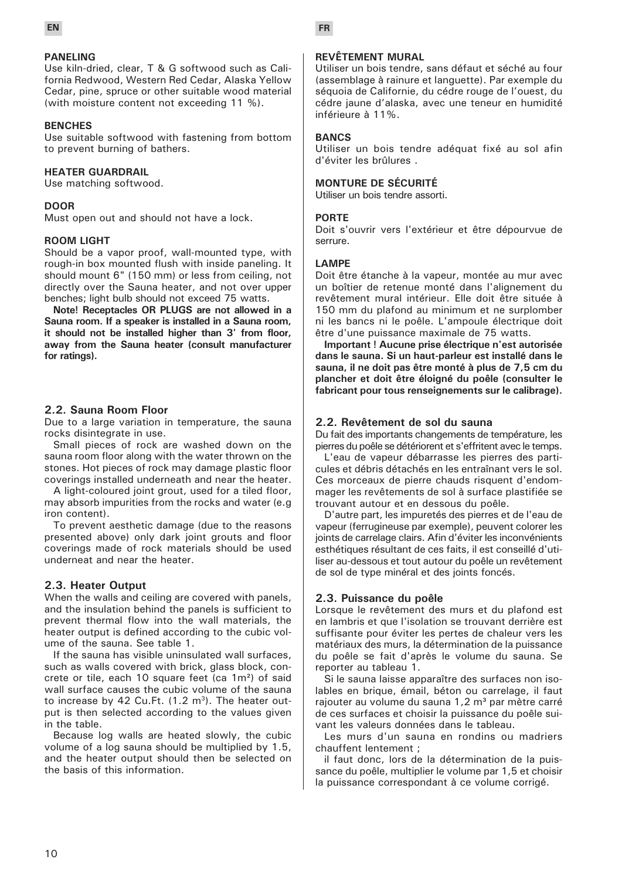

### **PANELING**

Use kiln-dried, clear, T & G softwood such as California Redwood, Western Red Cedar, Alaska Yellow Cedar, pine, spruce or other suitable wood material (with moisture content not exceeding 11 %).

#### **BENCHES**

Use suitable softwood with fastening from bottom to prevent burning of bathers.

#### **HEATER GUARDRAIL**

Use matching softwood.

#### **DOOR**

Must open out and should not have a lock.

#### **ROOM LIGHT**

Should be a vapor proof, wall-mounted type, with rough-in box mounted flush with inside paneling. It should mount 6" (150 mm) or less from ceiling, not directly over the Sauna heater, and not over upper benches; light bulb should not exceed 75 watts.

**Note! Receptacles OR PLUGS are not allowed in a Sauna room. If a speaker is installed in a Sauna room, it should not be installed higher than 3' from floor, away from the Sauna heater (consult manufacturer for ratings).**

### **2.2. Sauna Room Floor**

Due to a large variation in temperature, the sauna rocks disintegrate in use.

Small pieces of rock are washed down on the sauna room floor along with the water thrown on the stones. Hot pieces of rock may damage plastic floor coverings installed underneath and near the heater.

A light-coloured joint grout, used for a tiled floor, may absorb impurities from the rocks and water (e.g iron content).

To prevent aesthetic damage (due to the reasons presented above) only dark joint grouts and floor coverings made of rock materials should be used underneat and near the heater.

#### **2.3. Heater Output**

When the walls and ceiling are covered with panels, and the insulation behind the panels is sufficient to prevent thermal flow into the wall materials, the heater output is defined according to the cubic volume of the sauna. See table 1.

If the sauna has visible uninsulated wall surfaces, such as walls covered with brick, glass block, concrete or tile, each 10 square feet (ca 1m²) of said wall surface causes the cubic volume of the sauna to increase by 42 Cu.Ft.  $(1.2 \text{ m}^3)$ . The heater output is then selected according to the values given in the table.

Because log walls are heated slowly, the cubic volume of a log sauna should be multiplied by 1.5, and the heater output should then be selected on the basis of this information.

### **REVÊTEMENT MURAL**

Utiliser un bois tendre, sans défaut et séché au four (assemblage à rainure et languette). Par exemple du séquoia de Californie, du cédre rouge de l'ouest, du cédre jaune d'alaska, avec une teneur en humidité inférieure à 11%.

#### **BANCS**

Utiliser un bois tendre adéquat fixé au sol afin d'éviter les brûlures .

#### **MONTURE DE SÉCURITÉ**

Utiliser un bois tendre assorti.

#### **PORTE**

Doit s'ouvrir vers l'extérieur et être dépourvue de serrure.

#### **LAMPE**

Doit être étanche à la vapeur, montée au mur avec un boîtier de retenue monté dans l'alignement du revêtement mural intérieur. Elle doit être située à 150 mm du plafond au minimum et ne surplomber ni les bancs ni le poêle. L'ampoule électrique doit être d'une puissance maximale de 75 watts.

**Important ! Aucune prise électrique n'est autorisée dans le sauna. Si un haut-parleur est installé dans le sauna, il ne doit pas être monté à plus de 7,5 cm du plancher et doit être éloigné du poêle (consulter le fabricant pour tous renseignements sur le calibrage).** 

#### **2.2. Revêtement de sol du sauna**

Du fait des importants changements de température, les pierres du poêle se détériorent et s'effritent avec le temps.

L'eau de vapeur débarrasse les pierres des particules et débris détachés en les entraînant vers le sol. Ces morceaux de pierre chauds risquent d'endommager les revêtements de sol à surface plastifiée se trouvant autour et en dessous du poêle.

D'autre part, les impuretés des pierres et de l'eau de vapeur (ferrugineuse par exemple), peuvent colorer les joints de carrelage clairs. Afin d'éviter les inconvénients esthétiques résultant de ces faits, il est conseillé d'utiliser au-dessous et tout autour du poêle un revêtement de sol de type minéral et des joints foncés.

### **2.3. Puissance du poêle**

Lorsque le revêtement des murs et du plafond est en lambris et que l'isolation se trouvant derrière est suffisante pour éviter les pertes de chaleur vers les matériaux des murs, la détermination de la puissance du poêle se fait d'après le volume du sauna. Se reporter au tableau 1.

Si le sauna laisse apparaître des surfaces non isolables en brique, émail, béton ou carrelage, il faut rajouter au volume du sauna 1,2 m<sup>3</sup> par mètre carré de ces surfaces et choisir la puissance du poêle suivant les valeurs données dans le tableau.

Les murs d'un sauna en rondins ou madriers chauffent lentement ;

il faut donc, lors de la détermination de la puissance du poêle, multiplier le volume par 1,5 et choisir la puissance correspondant à ce volume corrigé.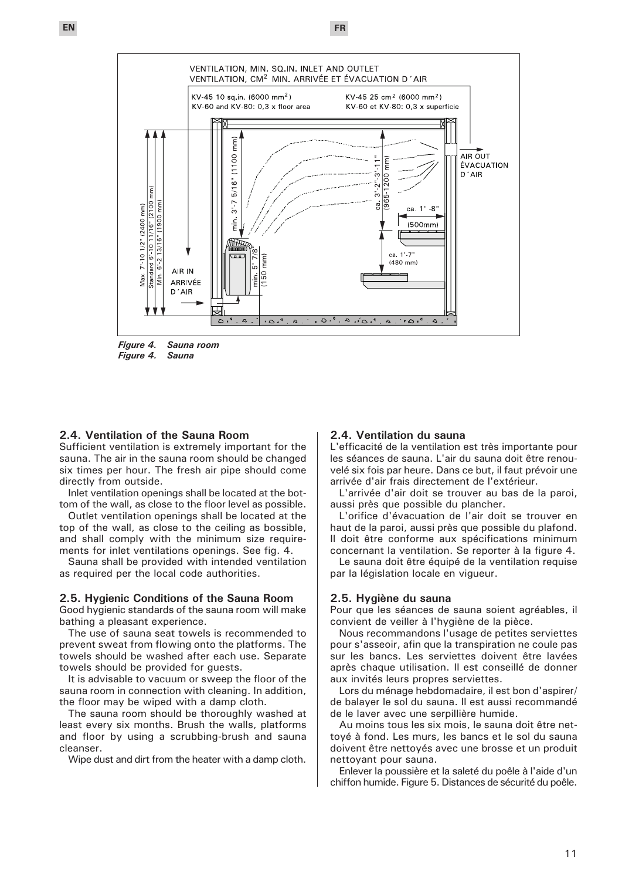



*Figure 4. Sauna*

#### **2.4. Ventilation of the Sauna Room**

Sufficient ventilation is extremely important for the sauna. The air in the sauna room should be changed six times per hour. The fresh air pipe should come directly from outside.

Inlet ventilation openings shall be located at the bottom of the wall, as close to the floor level as possible.

Outlet ventilation openings shall be located at the top of the wall, as close to the ceiling as bossible, and shall comply with the minimum size requirements for inlet ventilations openings. See fig. 4.

Sauna shall be provided with intended ventilation as required per the local code authorities.

#### **2.5. Hygienic Conditions of the Sauna Room**

Good hygienic standards of the sauna room will make bathing a pleasant experience.

The use of sauna seat towels is recommended to prevent sweat from flowing onto the platforms. The towels should be washed after each use. Separate towels should be provided for guests.

It is advisable to vacuum or sweep the floor of the sauna room in connection with cleaning. In addition, the floor may be wiped with a damp cloth.

The sauna room should be thoroughly washed at least every six months. Brush the walls, platforms and floor by using a scrubbing-brush and sauna cleanser.

Wipe dust and dirt from the heater with a damp cloth.

### **2.4. Ventilation du sauna**

L'efficacité de la ventilation est très importante pour les séances de sauna. L'air du sauna doit être renouvelé six fois par heure. Dans ce but, il faut prévoir une arrivée d'air frais directement de l'extérieur.

L'arrivée d'air doit se trouver au bas de la paroi, aussi près que possible du plancher.

L'orifice d'évacuation de l'air doit se trouver en haut de la paroi, aussi près que possible du plafond. Il doit être conforme aux spécifications minimum concernant la ventilation. Se reporter à la figure 4.

Le sauna doit être équipé de la ventilation requise par la législation locale en vigueur.

#### **2.5. Hygiène du sauna**

Pour que les séances de sauna soient agréables, il convient de veiller à l'hygiène de la pièce.

Nous recommandons l'usage de petites serviettes pour s'asseoir, afin que la transpiration ne coule pas sur les bancs. Les serviettes doivent être lavées après chaque utilisation. Il est conseillé de donner aux invités leurs propres serviettes.

Lors du ménage hebdomadaire, il est bon d'aspirer/ de balayer le sol du sauna. Il est aussi recommandé de le laver avec une serpillière humide.

Au moins tous les six mois, le sauna doit être nettoyé à fond. Les murs, les bancs et le sol du sauna doivent être nettoyés avec une brosse et un produit nettoyant pour sauna.

Enlever la poussière et la saleté du poêle à l'aide d'un chiffon humide. Figure 5. Distances de sécurité du poêle.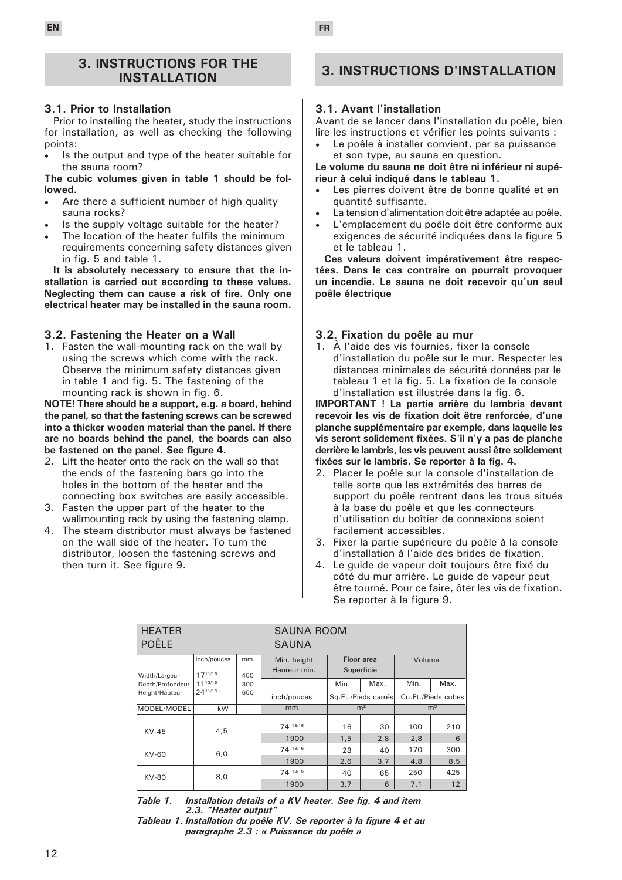### **3. INSTRUCTIONS FOR THE INSTALLATION**

### **3.1. Prior to Installation**

Prior to installing the heater, study the instructions for installation, as well as checking the following points:

Is the output and type of the heater suitable for the sauna room?

**The cubic volumes given in table 1 should be followed.**

- Are there a sufficient number of high quality sauna rocks?
- Is the supply voltage suitable for the heater?
- The location of the heater fulfils the minimum requirements concerning safety distances given in fig. 5 and table 1.

**It is absolutely necessary to ensure that the installation is carried out according to these values. Neglecting them can cause a risk of fire. Only one electrical heater may be installed in the sauna room.**

### **3.2. Fastening the Heater on a Wall**

1. Fasten the wall-mounting rack on the wall by using the screws which come with the rack. Observe the minimum safety distances given in table 1 and fig. 5. The fastening of the mounting rack is shown in fig. 6.

**NOTE! There should be a support, e.g. a board, behind the panel, so that the fastening screws can be screwed into a thicker wooden material than the panel. If there are no boards behind the panel, the boards can also be fastened on the panel. See figure 4.**

- 2. Lift the heater onto the rack on the wall so that the ends of the fastening bars go into the holes in the bottom of the heater and the connecting box switches are easily accessible.
- 3. Fasten the upper part of the heater to the wallmounting rack by using the fastening clamp.
- 4. The steam distributor must always be fastened on the wall side of the heater. To turn the distributor, loosen the fastening screws and then turn it. See figure 9.

# **3. INSTRUCTIONS D'INSTALLATION**

### **3.1. Avant l'installation**

Avant de se lancer dans l'installation du poêle, bien lire les instructions et vérifier les points suivants :

Le poêle à installer convient, par sa puissance et son type, au sauna en question.

**Le volume du sauna ne doit être ni inférieur ni supérieur à celui indiqué dans le tableau 1.** 

- Les pierres doivent être de bonne qualité et en quantité suffisante.
- La tension d'alimentation doit être adaptée au poêle.
- L'emplacement du poêle doit être conforme aux exigences de sécurité indiquées dans la figure 5 et le tableau 1.

**Ces valeurs doivent impérativement être respectées. Dans le cas contraire on pourrait provoquer un incendie. Le sauna ne doit recevoir qu'un seul poêle électrique** 

### **3.2. Fixation du poêle au mur**

1. À l'aide des vis fournies, fixer la console d'installation du poêle sur le mur. Respecter les distances minimales de sécurité données par le tableau 1 et la fig. 5. La fixation de la console d'installation est illustrée dans la fig. 6.

**IMPORTANT ! La partie arrière du lambris devant recevoir les vis de fixation doit être renforcée, d'une planche supplémentaire par exemple, dans laquelle les vis seront solidement fixées. S'il n'y a pas de planche derrière le lambris, les vis peuvent aussi être solidement fixées sur le lambris. Se reporter à la fig. 4.**

- 2. Placer le poêle sur la console d'installation de telle sorte que les extrémités des barres de support du poêle rentrent dans les trous situés à la base du poêle et que les connecteurs d'utilisation du boîtier de connexions soient facilement accessibles.
- 3. Fixer la partie supérieure du poêle à la console d'installation à l'aide des brides de fixation.
- 4. Le guide de vapeur doit toujours être fixé du côté du mur arrière. Le guide de vapeur peut être tourné. Pour ce faire, ôter les vis de fixation. Se reporter à la figure 9.

| <b>HEATER</b><br><b>POÊLE</b> |                        |           | <b>SAUNA ROOM</b><br><b>SAUNA</b> |                          |                     |                |                    |  |
|-------------------------------|------------------------|-----------|-----------------------------------|--------------------------|---------------------|----------------|--------------------|--|
| Width/Largeur                 | inch/pouces<br>1711/16 | mm<br>450 | Min. height<br>Haureur min.       | Floor area<br>Superficie |                     | Volume         |                    |  |
| Depth/Profondeur              | 1113/16                | 300       |                                   | Min.                     | Max.                | Min.           | Max.               |  |
| Height/Hauteur                | 2411/16                | 650       | inch/pouces                       |                          | Sq.Ft./Pieds carrés |                | Cu.Ft./Pieds cubes |  |
| MODEL/MODÉL                   | kW                     |           | mm                                | m <sup>2</sup>           |                     | m <sup>3</sup> |                    |  |
| $KV-45$                       | 4,5                    |           | 74 13/16<br>1900                  | 16<br>1,5                | 30<br>2,8           | 100<br>2,8     | 210<br>6           |  |
| KV-60                         | 6,0                    |           | 74 13/16                          | 28                       | 40                  | 170            | 300                |  |
|                               |                        |           | 1900                              | 2,6                      | 3.7                 | 4,8            | 8,5                |  |
| KV-80                         | 8,0                    |           | 74 13/16                          | 40                       | 65                  | 250            | 425                |  |
|                               |                        |           | 1900                              | 3,7                      | 6                   | 7,1            | 12                 |  |

*Table 1. Installation details of a KV heater. See fig. 4 and item 2.3. "Heater output"*

*Tableau 1. Installation du poêle KV. Se reporter à la figure 4 et au paragraphe 2.3 : « Puissance du poêle »*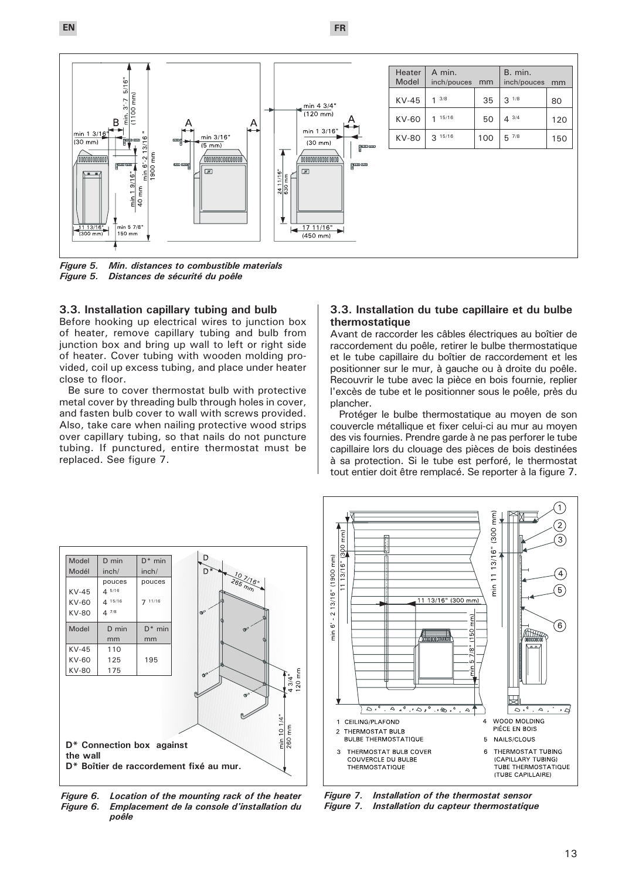**EN FR**



*Figure 5. Min. distances to combustible materials* **Distances de sécurité du poêle** 

#### **3.3. Installation capillary tubing and bulb**

Before hooking up electrical wires to junction box of heater, remove capillary tubing and bulb from junction box and bring up wall to left or right side of heater. Cover tubing with wooden molding provided, coil up excess tubing, and place under heater close to floor.

Be sure to cover thermostat bulb with protective metal cover by threading bulb through holes in cover, and fasten bulb cover to wall with screws provided. Also, take care when nailing protective wood strips over capillary tubing, so that nails do not puncture tubing. If punctured, entire thermostat must be replaced. See figure 7.

#### **3.3. Installation du tube capillaire et du bulbe thermostatique**

Avant de raccorder les câbles électriques au boîtier de raccordement du poêle, retirer le bulbe thermostatique et le tube capillaire du boîtier de raccordement et les positionner sur le mur, à gauche ou à droite du poêle. Recouvrir le tube avec la pièce en bois fournie, replier l'excès de tube et le positionner sous le poêle, près du plancher.

Protéger le bulbe thermostatique au moyen de son couvercle métallique et fixer celui-ci au mur au moyen des vis fournies. Prendre garde à ne pas perforer le tube capillaire lors du clouage des pièces de bois destinées à sa protection. Si le tube est perforé, le thermostat tout entier doit être remplacé. Se reporter à la figure 7.



*Figure 6. Location of the mounting rack of the heater Figure 6. Emplacement de la console d'installation du poêle* 



*Figure 7. Installation of the thermostat sensor Figure 7. Installation du capteur thermostatique*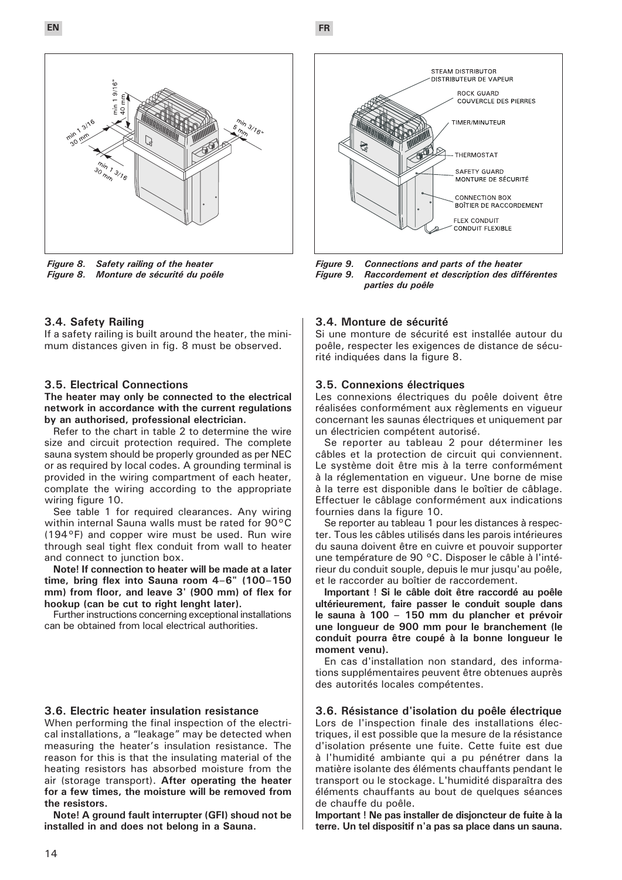



*Figure 8. Safety railing of the heater Figure 8. Monture de sécurité du poêle* 

### **3.4. Safety Railing**

If a safety railing is built around the heater, the minimum distances given in fig. 8 must be observed.

#### **3.5. Electrical Connections**

**The heater may only be connected to the electrical network in accordance with the current regulations by an authorised, professional electrician.**

Refer to the chart in table 2 to determine the wire size and circuit protection required. The complete sauna system should be properly grounded as per NEC or as required by local codes. A grounding terminal is provided in the wiring compartment of each heater, complate the wiring according to the appropriate wiring figure 10.

See table 1 for required clearances. Any wiring within internal Sauna walls must be rated for 90°C (194°F) and copper wire must be used. Run wire through seal tight flex conduit from wall to heater and connect to junction box.

**Note! If connection to heater will be made at a later time, bring flex into Sauna room 4–6" (100–150 mm) from floor, and leave 3' (900 mm) of flex for hookup (can be cut to right lenght later).**

Further instructions concerning exceptional installations can be obtained from local electrical authorities.

#### **3.6. Electric heater insulation resistance**

When performing the final inspection of the electrical installations, a "leakage" may be detected when measuring the heater's insulation resistance. The reason for this is that the insulating material of the heating resistors has absorbed moisture from the air (storage transport). **After operating the heater for a few times, the moisture will be removed from the resistors.**

**Note! A ground fault interrupter (GFI) shoud not be installed in and does not belong in a Sauna.**



*Figure 9. Connections and parts of the heater Figure 9. Raccordement et description des différentes parties du poêle* 

#### **3.4. Monture de sécurité**

Si une monture de sécurité est installée autour du poêle, respecter les exigences de distance de sécurité indiquées dans la figure 8.

#### **3.5. Connexions électriques**

Les connexions électriques du poêle doivent être réalisées conformément aux règlements en vigueur concernant les saunas électriques et uniquement par un électricien compétent autorisé.

Se reporter au tableau 2 pour déterminer les câbles et la protection de circuit qui conviennent. Le système doit être mis à la terre conformément à la réglementation en vigueur. Une borne de mise à la terre est disponible dans le boîtier de câblage. Effectuer le câblage conformément aux indications fournies dans la figure 10.

Se reporter au tableau 1 pour les distances à respecter. Tous les câbles utilisés dans les parois intérieures du sauna doivent être en cuivre et pouvoir supporter une température de 90 °C. Disposer le câble à l'intérieur du conduit souple, depuis le mur jusqu'au poêle, et le raccorder au boîtier de raccordement.

**Important ! Si le câble doit être raccordé au poêle ultérieurement, faire passer le conduit souple dans le sauna à 100 – 150 mm du plancher et prévoir une longueur de 900 mm pour le branchement (le conduit pourra être coupé à la bonne longueur le moment venu).**

En cas d'installation non standard, des informations supplémentaires peuvent être obtenues auprès des autorités locales compétentes.

### **3.6. Résistance d'isolation du poêle électrique**

Lors de l'inspection finale des installations électriques, il est possible que la mesure de la résistance d'isolation présente une fuite. Cette fuite est due à l'humidité ambiante qui a pu pénétrer dans la matière isolante des éléments chauffants pendant le transport ou le stockage. L'humidité disparaîtra des éléments chauffants au bout de quelques séances de chauffe du poêle.

**Important ! Ne pas installer de disjoncteur de fuite à la terre. Un tel dispositif n'a pas sa place dans un sauna.**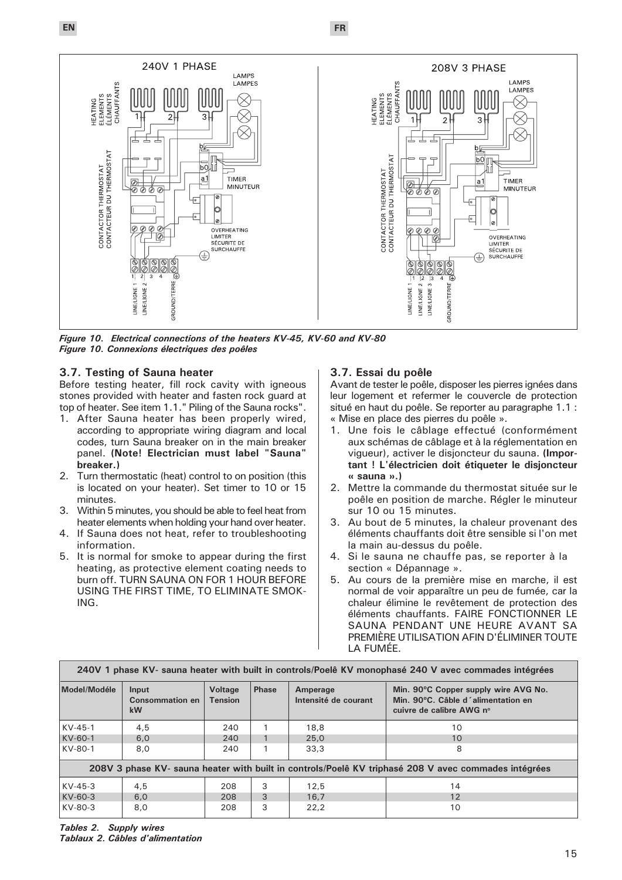**EN FR**



*Figure 10. Electrical connections of the heaters KV-45, KV-60 and KV-80 Figure 10. Connexions électriques des poêles*

### **3.7. Testing of Sauna heater**

Before testing heater, fill rock cavity with igneous stones provided with heater and fasten rock guard at top of heater. See item 1.1." Piling of the Sauna rocks".

- 1. After Sauna heater has been properly wired, according to appropriate wiring diagram and local codes, turn Sauna breaker on in the main breaker panel. **(Note! Electrician must label "Sauna" breaker.)**
- 2. Turn thermostatic (heat) control to on position (this is located on your heater). Set timer to 10 or 15 minutes.
- 3. Within 5 minutes, you should be able to feel heat from heater elements when holding your hand over heater.
- 4. If Sauna does not heat, refer to troubleshooting information.
- 5. It is normal for smoke to appear during the first heating, as protective element coating needs to burn off. TURN SAUNA ON FOR 1 HOUR BEFORE USING THE FIRST TIME, TO ELIMINATE SMOK-ING.

### **3.7. Essai du poêle**

Avant de tester le poêle, disposer les pierres ignées dans leur logement et refermer le couvercle de protection situé en haut du poêle. Se reporter au paragraphe 1.1 : « Mise en place des pierres du poêle ».

- 1. Une fois le câblage effectué (conformément aux schémas de câblage et à la réglementation en vigueur), activer le disjoncteur du sauna. **(Important ! L'électricien doit étiqueter le disjoncteur « sauna ».)**
- 2. Mettre la commande du thermostat située sur le poêle en position de marche. Régler le minuteur sur 10 ou 15 minutes.
- 3. Au bout de 5 minutes, la chaleur provenant des éléments chauffants doit être sensible si l'on met la main au-dessus du poêle.
- 4. Si le sauna ne chauffe pas, se reporter à la section « Dépannage ».
- 5. Au cours de la première mise en marche, il est normal de voir apparaître un peu de fumée, car la chaleur élimine le revêtement de protection des éléments chauffants. FAIRE FONCTIONNER LE SAUNA PENDANT UNE HEURE AVANT SA PREMIÈRE UTILISATION AFIN D'ÉLIMINER TOUTE LA FUMÉE.

| 240V 1 phase KV- sauna heater with built in controls/Poelê KV monophasé 240 V avec commades intégrées |                                              |                                  |              |                                  |                                                                                                        |  |  |
|-------------------------------------------------------------------------------------------------------|----------------------------------------------|----------------------------------|--------------|----------------------------------|--------------------------------------------------------------------------------------------------------|--|--|
| Model/Modéle                                                                                          | Input<br><b>Consommation en</b><br><b>kW</b> | <b>Voltage</b><br><b>Tension</b> | <b>Phase</b> | Amperage<br>Intensité de courant | Min. 90°C Copper supply wire AVG No.<br>Min. 90°C. Câble d'alimentation en<br>cuivre de calibre AWG nº |  |  |
| $KV-45-1$                                                                                             | 4,5                                          | 240                              |              | 18.8                             | 10                                                                                                     |  |  |
| KV-60-1                                                                                               | 6,0                                          | 240                              |              | 25,0                             | 10 <sup>1</sup>                                                                                        |  |  |
| KV-80-1                                                                                               | 8,0                                          | 240                              |              | 33.3                             | 8                                                                                                      |  |  |
| 208V 3 phase KV- sauna heater with built in controls/Poelê KV triphasé 208 V avec commades intégrées  |                                              |                                  |              |                                  |                                                                                                        |  |  |
| $KV-45-3$                                                                                             | 4,5                                          | 208                              | 3            | 12.5                             | 14                                                                                                     |  |  |
| KV-60-3                                                                                               | 6.0                                          | 208                              | 3            | 16.7                             | 12                                                                                                     |  |  |
| KV-80-3                                                                                               | 8,0                                          | 208                              | 3            | 22.2                             | 10                                                                                                     |  |  |

*Tables 2. Supply wires Tablaux 2. Câbles d'alimentation*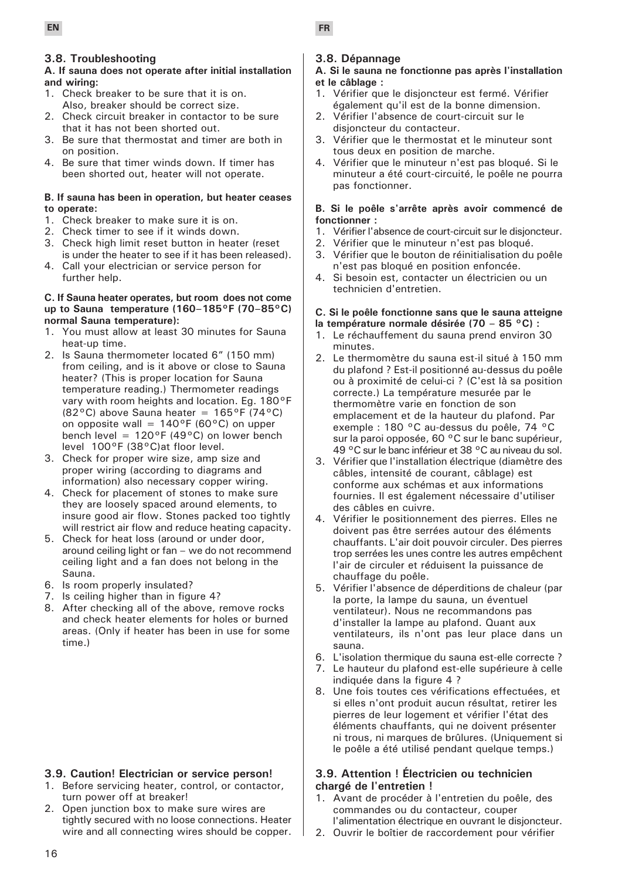### **3.8. Troubleshooting**

### **A. If sauna does not operate after initial installation and wiring:**

- 1. Check breaker to be sure that it is on. Also, breaker should be correct size.
- 2. Check circuit breaker in contactor to be sure that it has not been shorted out.
- 3. Be sure that thermostat and timer are both in on position.
- 4. Be sure that timer winds down. If timer has been shorted out, heater will not operate.

#### **B. If sauna has been in operation, but heater ceases to operate:**

- 1. Check breaker to make sure it is on.
- 2. Check timer to see if it winds down.
- 3. Check high limit reset button in heater (reset is under the heater to see if it has been released).
- 4. Call your electrician or service person for further help.

### **C. If Sauna heater operates, but room does not come up to Sauna temperature (160–185°F (70–85°C) normal Sauna temperature):**

- 1. You must allow at least 30 minutes for Sauna heat-up time.
- 2. Is Sauna thermometer located 6" (150 mm) from ceiling, and is it above or close to Sauna heater? (This is proper location for Sauna temperature reading.) Thermometer readings vary with room heights and location. Eg. 180°F (82 $^{\circ}$ C) above Sauna heater = 165 $^{\circ}$ F (74 $^{\circ}$ C) on opposite wall =  $140^{\circ}F(60^{\circ}C)$  on upper bench level =  $120^{\circ}F(49^{\circ}C)$  on lower bench level 100°F (38°C)at floor level.
- 3. Check for proper wire size, amp size and proper wiring (according to diagrams and information) also necessary copper wiring.
- 4. Check for placement of stones to make sure they are loosely spaced around elements, to insure good air flow. Stones packed too tightly will restrict air flow and reduce heating capacity.
- 5. Check for heat loss (around or under door, around ceiling light or fan – we do not recommend ceiling light and a fan does not belong in the Sauna.
- 6. Is room properly insulated?
- 7. Is ceiling higher than in figure 4?
- 8. After checking all of the above, remove rocks and check heater elements for holes or burned areas. (Only if heater has been in use for some time.)

### **3.9. Caution! Electrician or service person!**

- 1. Before servicing heater, control, or contactor, turn power off at breaker!
- 2. Open junction box to make sure wires are tightly secured with no loose connections. Heater wire and all connecting wires should be copper.

## **3.8. Dépannage**

### **A. Si le sauna ne fonctionne pas après l'installation et le câblage :**

- 1. Vérifier que le disjoncteur est fermé. Vérifier également qu'il est de la bonne dimension.
- 2. Vérifier l'absence de court-circuit sur le disjoncteur du contacteur.
- 3. Vérifier que le thermostat et le minuteur sont tous deux en position de marche.
- 4. Vérifier que le minuteur n'est pas bloqué. Si le minuteur a été court-circuité, le poêle ne pourra pas fonctionner.

### **B. Si le poêle s'arrête après avoir commencé de fonctionner :**

- 1. Vérifier l'absence de court-circuit sur le disjoncteur.
- 2. Vérifier que le minuteur n'est pas bloqué.
- 3. Vérifier que le bouton de réinitialisation du poêle n'est pas bloqué en position enfoncée.
- 4. Si besoin est, contacter un électricien ou un technicien d'entretien.

## **C. Si le poêle fonctionne sans que le sauna atteigne**

- **la température normale désirée (70 85 °C) :**
- 1. Le réchauffement du sauna prend environ 30 minutes.
- 2. Le thermomètre du sauna est-il situé à 150 mm du plafond ? Est-il positionné au-dessus du poêle ou à proximité de celui-ci ? (C'est là sa position correcte.) La température mesurée par le thermomètre varie en fonction de son emplacement et de la hauteur du plafond. Par exemple : 180 °C au-dessus du poêle, 74 °C sur la paroi opposée, 60 °C sur le banc supérieur, 49 °C sur le banc inférieur et 38 °C au niveau du sol.
- 3. Vérifier que l'installation électrique (diamètre des câbles, intensité de courant, câblage) est conforme aux schémas et aux informations fournies. Il est également nécessaire d'utiliser des câbles en cuivre.
- 4. Vérifier le positionnement des pierres. Elles ne doivent pas être serrées autour des éléments chauffants. L'air doit pouvoir circuler. Des pierres trop serrées les unes contre les autres empêchent l'air de circuler et réduisent la puissance de chauffage du poêle.
- 5. Vérifier l'absence de déperditions de chaleur (par la porte, la lampe du sauna, un éventuel ventilateur). Nous ne recommandons pas d'installer la lampe au plafond. Quant aux ventilateurs, ils n'ont pas leur place dans un sauna.
- 6. L'isolation thermique du sauna est-elle correcte ?
- 7. Le hauteur du plafond est-elle supérieure à celle indiquée dans la figure 4 ?
- 8. Une fois toutes ces vérifications effectuées, et si elles n'ont produit aucun résultat, retirer les pierres de leur logement et vérifier l'état des éléments chauffants, qui ne doivent présenter ni trous, ni marques de brûlures. (Uniquement si le poêle a été utilisé pendant quelque temps.)

### **3.9. Attention ! Électricien ou technicien chargé de l'entretien !**

- 1. Avant de procéder à l'entretien du poêle, des commandes ou du contacteur, couper l'alimentation électrique en ouvrant le disjoncteur.
- 2. Ouvrir le boîtier de raccordement pour vérifier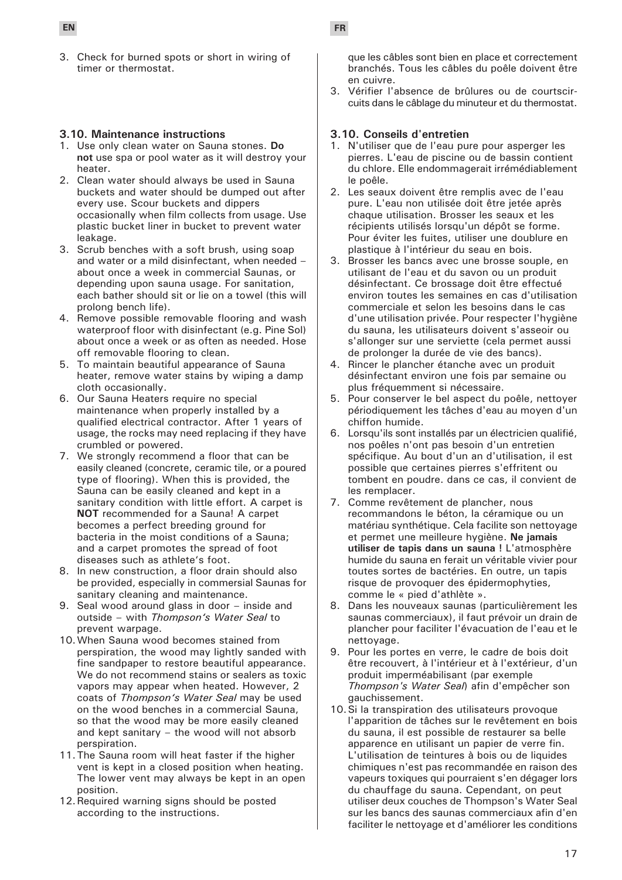3. Check for burned spots or short in wiring of timer or thermostat.

### **3.10. Maintenance instructions**

- 1. Use only clean water on Sauna stones. **Do not** use spa or pool water as it will destroy your heater.
- 2. Clean water should always be used in Sauna buckets and water should be dumped out after every use. Scour buckets and dippers occasionally when film collects from usage. Use plastic bucket liner in bucket to prevent water leakage.
- 3. Scrub benches with a soft brush, using soap and water or a mild disinfectant, when needed – about once a week in commercial Saunas, or depending upon sauna usage. For sanitation, each bather should sit or lie on a towel (this will prolong bench life).
- 4. Remove possible removable flooring and wash waterproof floor with disinfectant (e.g. Pine Sol) about once a week or as often as needed. Hose off removable flooring to clean.
- 5. To maintain beautiful appearance of Sauna heater, remove water stains by wiping a damp cloth occasionally.
- 6. Our Sauna Heaters require no special maintenance when properly installed by a qualified electrical contractor. After 1 years of usage, the rocks may need replacing if they have crumbled or powered.
- 7. We strongly recommend a floor that can be easily cleaned (concrete, ceramic tile, or a poured type of flooring). When this is provided, the Sauna can be easily cleaned and kept in a sanitary condition with little effort. A carpet is **NOT** recommended for a Sauna! A carpet becomes a perfect breeding ground for bacteria in the moist conditions of a Sauna; and a carpet promotes the spread of foot diseases such as athlete's foot.
- 8. In new construction, a floor drain should also be provided, especially in commersial Saunas for sanitary cleaning and maintenance.
- 9. Seal wood around glass in door inside and outside – with *Thompson's Water Seal* to prevent warpage.
- 10.When Sauna wood becomes stained from perspiration, the wood may lightly sanded with fine sandpaper to restore beautiful appearance. We do not recommend stains or sealers as toxic vapors may appear when heated. However, 2 coats of *Thompson's Water Seal* may be used on the wood benches in a commercial Sauna, so that the wood may be more easily cleaned and kept sanitary – the wood will not absorb perspiration.
- 11.The Sauna room will heat faster if the higher vent is kept in a closed position when heating. The lower vent may always be kept in an open position.
- 12.Required warning signs should be posted according to the instructions.

**EN FR**

que les câbles sont bien en place et correctement branchés. Tous les câbles du poêle doivent être en cuivre.

3. Vérifier l'absence de brûlures ou de courtscircuits dans le câblage du minuteur et du thermostat.

#### **3.10. Conseils d'entretien**

- 1. N'utiliser que de l'eau pure pour asperger les pierres. L'eau de piscine ou de bassin contient du chlore. Elle endommagerait irrémédiablement le poêle.
- 2. Les seaux doivent être remplis avec de l'eau pure. L'eau non utilisée doit être jetée après chaque utilisation. Brosser les seaux et les récipients utilisés lorsqu'un dépôt se forme. Pour éviter les fuites, utiliser une doublure en plastique à l'intérieur du seau en bois.
- 3. Brosser les bancs avec une brosse souple, en utilisant de l'eau et du savon ou un produit désinfectant. Ce brossage doit être effectué environ toutes les semaines en cas d'utilisation commerciale et selon les besoins dans le cas d'une utilisation privée. Pour respecter l'hygiène du sauna, les utilisateurs doivent s'asseoir ou s'allonger sur une serviette (cela permet aussi de prolonger la durée de vie des bancs).
- 4. Rincer le plancher étanche avec un produit désinfectant environ une fois par semaine ou plus fréquemment si nécessaire.
- 5. Pour conserver le bel aspect du poêle, nettoyer périodiquement les tâches d'eau au moyen d'un chiffon humide.
- 6. Lorsqu'ils sont installés par un électricien qualifié, nos poêles n'ont pas besoin d'un entretien spécifique. Au bout d'un an d'utilisation, il est possible que certaines pierres s'effritent ou tombent en poudre. dans ce cas, il convient de les remplacer.
- 7. Comme revêtement de plancher, nous recommandons le béton, la céramique ou un matériau synthétique. Cela facilite son nettoyage et permet une meilleure hygiène. **Ne jamais utiliser de tapis dans un sauna !** L'atmosphère humide du sauna en ferait un véritable vivier pour toutes sortes de bactéries. En outre, un tapis risque de provoquer des épidermophyties, comme le « pied d'athlète ».
- 8. Dans les nouveaux saunas (particulièrement les saunas commerciaux), il faut prévoir un drain de plancher pour faciliter l'évacuation de l'eau et le nettoyage.
- 9. Pour les portes en verre, le cadre de bois doit être recouvert, à l'intérieur et à l'extérieur, d'un produit imperméabilisant (par exemple *Thompson's Water Seal*) afin d'empêcher son gauchissement.
- 10.Si la transpiration des utilisateurs provoque l'apparition de tâches sur le revêtement en bois du sauna, il est possible de restaurer sa belle apparence en utilisant un papier de verre fin. L'utilisation de teintures à bois ou de liquides chimiques n'est pas recommandée en raison des vapeurs toxiques qui pourraient s'en dégager lors du chauffage du sauna. Cependant, on peut utiliser deux couches de Thompson's Water Seal sur les bancs des saunas commerciaux afin d'en faciliter le nettoyage et d'améliorer les conditions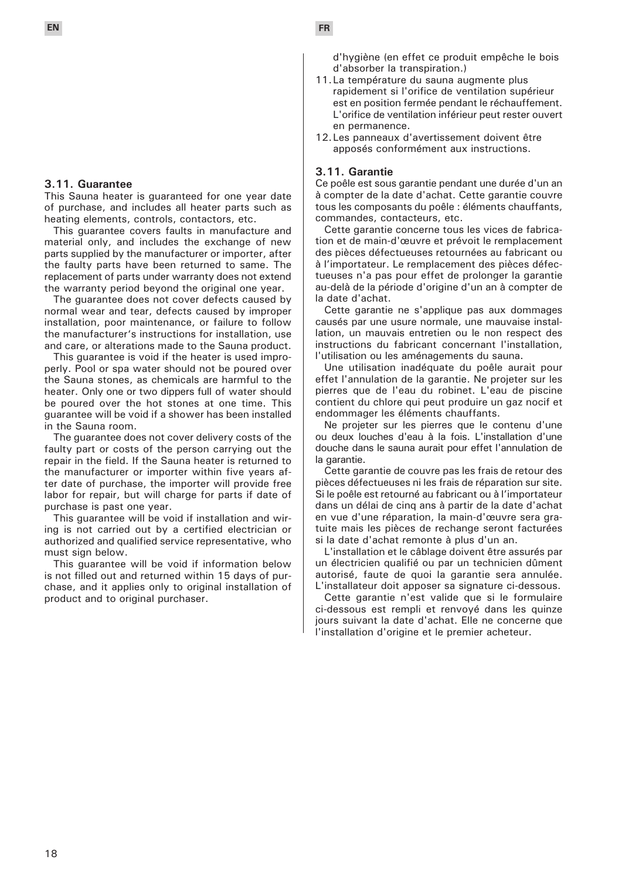### **3.11. Guarantee**

This Sauna heater is guaranteed for one year date of purchase, and includes all heater parts such as heating elements, controls, contactors, etc.

This guarantee covers faults in manufacture and material only, and includes the exchange of new parts supplied by the manufacturer or importer, after the faulty parts have been returned to same. The replacement of parts under warranty does not extend the warranty period beyond the original one year.

The guarantee does not cover defects caused by normal wear and tear, defects caused by improper installation, poor maintenance, or failure to follow the manufacturer's instructions for installation, use and care, or alterations made to the Sauna product.

This guarantee is void if the heater is used improperly. Pool or spa water should not be poured over the Sauna stones, as chemicals are harmful to the heater. Only one or two dippers full of water should be poured over the hot stones at one time. This guarantee will be void if a shower has been installed in the Sauna room.

The guarantee does not cover delivery costs of the faulty part or costs of the person carrying out the repair in the field. If the Sauna heater is returned to the manufacturer or importer within five years after date of purchase, the importer will provide free labor for repair, but will charge for parts if date of purchase is past one year.

This guarantee will be void if installation and wiring is not carried out by a certified electrician or authorized and qualified service representative, who must sign below.

This guarantee will be void if information below is not filled out and returned within 15 days of purchase, and it applies only to original installation of product and to original purchaser.

d'hygiène (en effet ce produit empêche le bois d'absorber la transpiration.)

- 11.La température du sauna augmente plus rapidement si l'orifice de ventilation supérieur est en position fermée pendant le réchauffement. L'orifice de ventilation inférieur peut rester ouvert en permanence.
- 12.Les panneaux d'avertissement doivent être apposés conformément aux instructions.

### **3.11. Garantie**

Ce poêle est sous garantie pendant une durée d'un an à compter de la date d'achat. Cette garantie couvre tous les composants du poêle : éléments chauffants, commandes, contacteurs, etc.

Cette garantie concerne tous les vices de fabrication et de main-d'œuvre et prévoit le remplacement des pièces défectueuses retournées au fabricant ou à l'importateur. Le remplacement des pièces défectueuses n'a pas pour effet de prolonger la garantie au-delà de la période d'origine d'un an à compter de la date d'achat.

Cette garantie ne s'applique pas aux dommages causés par une usure normale, une mauvaise installation, un mauvais entretien ou le non respect des instructions du fabricant concernant l'installation, l'utilisation ou les aménagements du sauna.

Une utilisation inadéquate du poêle aurait pour effet l'annulation de la garantie. Ne projeter sur les pierres que de l'eau du robinet. L'eau de piscine contient du chlore qui peut produire un gaz nocif et endommager les éléments chauffants.

Ne projeter sur les pierres que le contenu d'une ou deux louches d'eau à la fois. L'installation d'une douche dans le sauna aurait pour effet l'annulation de la garantie.

Cette garantie de couvre pas les frais de retour des pièces défectueuses ni les frais de réparation sur site. Si le poêle est retourné au fabricant ou à l'importateur dans un délai de cinq ans à partir de la date d'achat en vue d'une réparation, la main-d'œuvre sera gratuite mais les pièces de rechange seront facturées si la date d'achat remonte à plus d'un an.

L'installation et le câblage doivent être assurés par un électricien qualifié ou par un technicien dûment autorisé, faute de quoi la garantie sera annulée. L'installateur doit apposer sa signature ci-dessous.

Cette garantie n'est valide que si le formulaire ci-dessous est rempli et renvoyé dans les quinze jours suivant la date d'achat. Elle ne concerne que l'installation d'origine et le premier acheteur.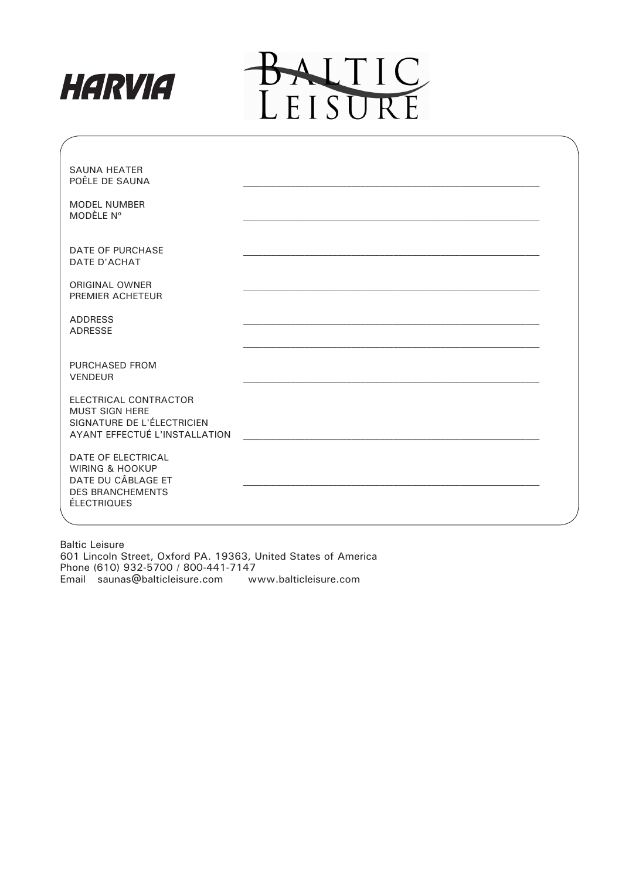



| <b>SAUNA HEATER</b><br>POÊLE DE SAUNA                                                                                   |  |
|-------------------------------------------------------------------------------------------------------------------------|--|
| <b>MODEL NUMBER</b><br>MODÈLE Nº                                                                                        |  |
| <b>DATE OF PURCHASE</b><br>DATE D'ACHAT                                                                                 |  |
| <b>ORIGINAL OWNER</b><br>PREMIER ACHETEUR                                                                               |  |
| <b>ADDRESS</b><br><b>ADRESSE</b>                                                                                        |  |
| PURCHASED FROM<br><b>VENDEUR</b>                                                                                        |  |
| ELECTRICAL CONTRACTOR<br><b>MUST SIGN HERE</b><br>SIGNATURE DE L'ÉLECTRICIEN<br>AYANT EFFECTUÉ L'INSTALLATION           |  |
| DATE OF ELECTRICAL<br><b>WIRING &amp; HOOKUP</b><br>DATE DU CÂBLAGE ET<br><b>DES BRANCHEMENTS</b><br><b>ÉLECTRIQUES</b> |  |

Baltic Leisure 601 Lincoln Street, Oxford PA. 19363, United States of America Phone (610) 932-5700 / 800-441-7147 Email saunas@balticleisure.com www.balticleisure.com